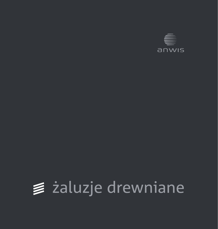

# żaluzje drewniane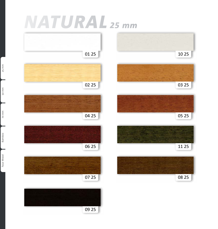# <span id="page-1-0"></span>*NATURAL 25 mm*

Faux Wood [Bamboo](#page-13-0) [70 mm](#page-11-0) 50 mm 25 mm

Bamboo

Faux Wood

70 mm

 $25$  mm

50 mm



09 25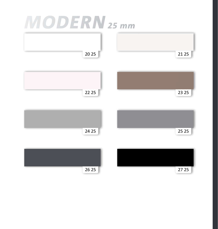#### *MODERN 25 mm*

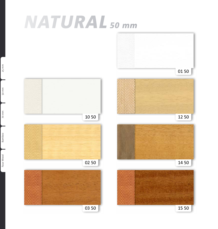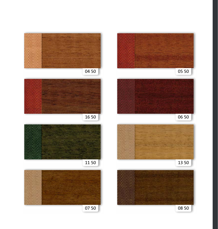















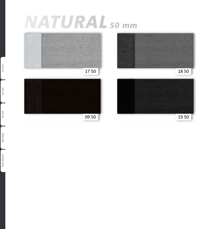# *NATURAL 50 mm*



 $25$  mm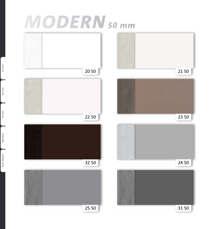## *MODERN 50 mm*



Faux Wood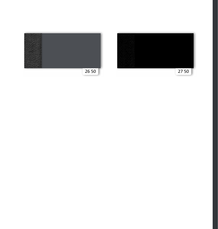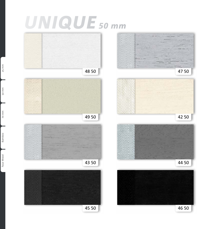# *UNIQUE 50 mm*





45 50 46 50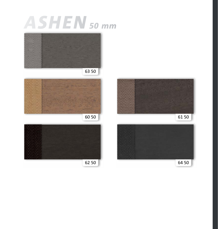### *ASHEN 50 mm*



63 50







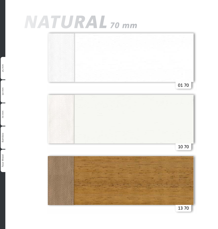### <span id="page-11-0"></span>*NATURAL 70 mm*



Faux Wood [Bamboo](#page-13-0) 70 mm 50 mm [25 mm](#page-1-0) 70 mm

 $25$  mm

50 mm

Bamboo Faux Wood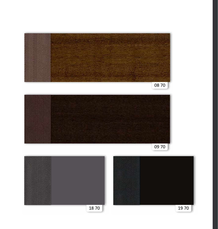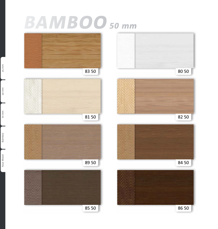# <span id="page-13-0"></span>*BAMBOO 50 mm*

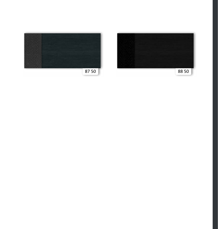

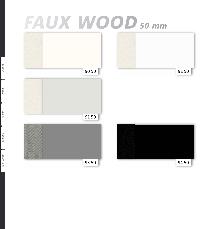